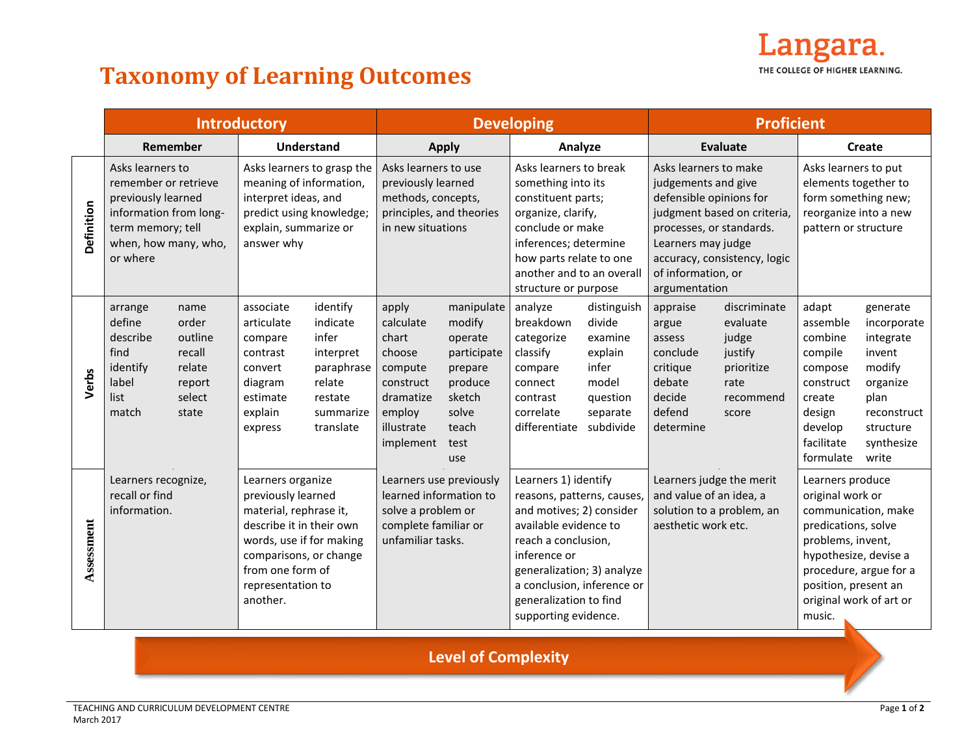

## **Taxonomy of Learning Outcomes**

|            | <b>Introductory</b>                                                                                                                               |                                                                           |                                                                                                                                                                                                          |                                                                                                         | <b>Developing</b>                                                                                                    |                                                                                                                 |                                                                                                                                                                                                                                                              |                                                                                                    | <b>Proficient</b>                                                                                                                                                                                                               |                                                                                          |                                                                                                                                                                                                                         |                                                                                                                                 |
|------------|---------------------------------------------------------------------------------------------------------------------------------------------------|---------------------------------------------------------------------------|----------------------------------------------------------------------------------------------------------------------------------------------------------------------------------------------------------|---------------------------------------------------------------------------------------------------------|----------------------------------------------------------------------------------------------------------------------|-----------------------------------------------------------------------------------------------------------------|--------------------------------------------------------------------------------------------------------------------------------------------------------------------------------------------------------------------------------------------------------------|----------------------------------------------------------------------------------------------------|---------------------------------------------------------------------------------------------------------------------------------------------------------------------------------------------------------------------------------|------------------------------------------------------------------------------------------|-------------------------------------------------------------------------------------------------------------------------------------------------------------------------------------------------------------------------|---------------------------------------------------------------------------------------------------------------------------------|
|            | Remember<br><b>Understand</b>                                                                                                                     |                                                                           |                                                                                                                                                                                                          | <b>Apply</b>                                                                                            |                                                                                                                      | Analyze                                                                                                         |                                                                                                                                                                                                                                                              | <b>Evaluate</b>                                                                                    |                                                                                                                                                                                                                                 | <b>Create</b>                                                                            |                                                                                                                                                                                                                         |                                                                                                                                 |
| Definition | Asks learners to<br>remember or retrieve<br>previously learned<br>information from long-<br>term memory; tell<br>when, how many, who,<br>or where |                                                                           | Asks learners to grasp the<br>meaning of information,<br>interpret ideas, and<br>predict using knowledge;<br>explain, summarize or<br>answer why                                                         |                                                                                                         | Asks learners to use<br>previously learned<br>methods, concepts,<br>principles, and theories<br>in new situations    |                                                                                                                 | Asks learners to break<br>something into its<br>constituent parts;<br>organize, clarify,<br>conclude or make<br>inferences; determine<br>how parts relate to one<br>another and to an overall<br>structure or purpose                                        |                                                                                                    | Asks learners to make<br>judgements and give<br>defensible opinions for<br>judgment based on criteria,<br>processes, or standards.<br>Learners may judge<br>accuracy, consistency, logic<br>of information, or<br>argumentation |                                                                                          | Asks learners to put<br>elements together to<br>form something new;<br>reorganize into a new<br>pattern or structure                                                                                                    |                                                                                                                                 |
| Verbs      | arrange<br>define<br>describe<br>find<br>identify<br>label<br>list<br>match                                                                       | name<br>order<br>outline<br>recall<br>relate<br>report<br>select<br>state | associate<br>articulate<br>compare<br>contrast<br>convert<br>diagram<br>estimate<br>explain<br>express                                                                                                   | identify<br>indicate<br>infer<br>interpret<br>paraphrase<br>relate<br>restate<br>summarize<br>translate | apply<br>calculate<br>chart<br>choose<br>compute<br>construct<br>dramatize<br>employ<br>illustrate<br>implement      | manipulate<br>modify<br>operate<br>participate<br>prepare<br>produce<br>sketch<br>solve<br>teach<br>test<br>use | analyze<br>breakdown<br>categorize<br>classify<br>compare<br>connect<br>contrast<br>correlate<br>differentiate                                                                                                                                               | distinguish<br>divide<br>examine<br>explain<br>infer<br>model<br>question<br>separate<br>subdivide | appraise<br>argue<br>assess<br>conclude<br>critique<br>debate<br>decide<br>defend<br>determine                                                                                                                                  | discriminate<br>evaluate<br>judge<br>justify<br>prioritize<br>rate<br>recommend<br>score | adapt<br>assemble<br>combine<br>compile<br>compose<br>construct<br>create<br>design<br>develop<br>facilitate<br>formulate                                                                                               | generate<br>incorporate<br>integrate<br>invent<br>modify<br>organize<br>plan<br>reconstruct<br>structure<br>synthesize<br>write |
| Assessment | Learners recognize,<br>recall or find<br>information.                                                                                             |                                                                           | Learners organize<br>previously learned<br>material, rephrase it,<br>describe it in their own<br>words, use if for making<br>comparisons, or change<br>from one form of<br>representation to<br>another. |                                                                                                         | Learners use previously<br>learned information to<br>solve a problem or<br>complete familiar or<br>unfamiliar tasks. |                                                                                                                 | Learners 1) identify<br>reasons, patterns, causes,<br>and motives; 2) consider<br>available evidence to<br>reach a conclusion,<br>inference or<br>generalization; 3) analyze<br>a conclusion, inference or<br>generalization to find<br>supporting evidence. |                                                                                                    | Learners judge the merit<br>and value of an idea, a<br>solution to a problem, an<br>aesthetic work etc.                                                                                                                         |                                                                                          | Learners produce<br>original work or<br>communication, make<br>predications, solve<br>problems, invent,<br>hypothesize, devise a<br>procedure, argue for a<br>position, present an<br>original work of art or<br>music. |                                                                                                                                 |

## **Level of Complexity**